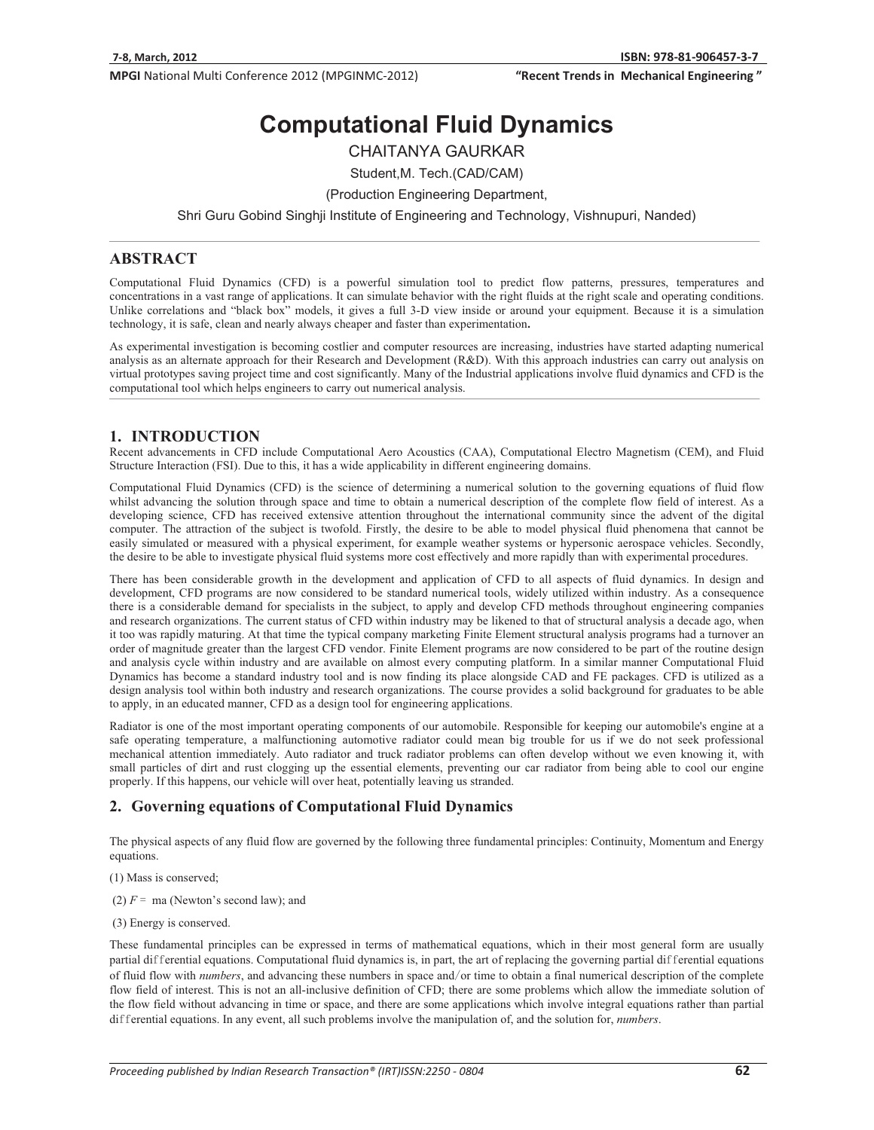"Recent Trends in Mechanical Engineering"

# **Computational Fluid Dynamics**

CHAITANYA GAURKAR

Student,M. Tech.(CAD/CAM)

(Production Engineering Department,

Shri Guru Gobind Singhji Institute of Engineering and Technology, Vishnupuri, Nanded)

### **ABSTRACT**

Computational Fluid Dynamics (CFD) is a powerful simulation tool to predict flow patterns, pressures, temperatures and concentrations in a vast range of applications. It can simulate behavior with the right fluids at the right scale and operating conditions. Unlike correlations and "black box" models, it gives a full 3-D view inside or around your equipment. Because it is a simulation technology, it is safe, clean and nearly always cheaper and faster than experimentation**.**

As experimental investigation is becoming costlier and computer resources are increasing, industries have started adapting numerical analysis as an alternate approach for their Research and Development (R&D). With this approach industries can carry out analysis on virtual prototypes saving project time and cost significantly. Many of the Industrial applications involve fluid dynamics and CFD is the computational tool which helps engineers to carry out numerical analysis.

#### **1. INTRODUCTION**

Recent advancements in CFD include Computational Aero Acoustics (CAA), Computational Electro Magnetism (CEM), and Fluid Structure Interaction (FSI). Due to this, it has a wide applicability in different engineering domains.

Computational Fluid Dynamics (CFD) is the science of determining a numerical solution to the governing equations of fluid flow whilst advancing the solution through space and time to obtain a numerical description of the complete flow field of interest. As a developing science, CFD has received extensive attention throughout the international community since the advent of the digital computer. The attraction of the subject is twofold. Firstly, the desire to be able to model physical fluid phenomena that cannot be easily simulated or measured with a physical experiment, for example weather systems or hypersonic aerospace vehicles. Secondly, the desire to be able to investigate physical fluid systems more cost effectively and more rapidly than with experimental procedures.

There has been considerable growth in the development and application of CFD to all aspects of fluid dynamics. In design and development, CFD programs are now considered to be standard numerical tools, widely utilized within industry. As a consequence there is a considerable demand for specialists in the subject, to apply and develop CFD methods throughout engineering companies and research organizations. The current status of CFD within industry may be likened to that of structural analysis a decade ago, when it too was rapidly maturing. At that time the typical company marketing Finite Element structural analysis programs had a turnover an order of magnitude greater than the largest CFD vendor. Finite Element programs are now considered to be part of the routine design and analysis cycle within industry and are available on almost every computing platform. In a similar manner Computational Fluid Dynamics has become a standard industry tool and is now finding its place alongside CAD and FE packages. CFD is utilized as a design analysis tool within both industry and research organizations. The course provides a solid background for graduates to be able to apply, in an educated manner, CFD as a design tool for engineering applications.

Radiator is one of the most important operating components of our automobile. Responsible for keeping our automobile's engine at a safe operating temperature, a malfunctioning automotive radiator could mean big trouble for us if we do not seek professional mechanical attention immediately. Auto radiator and truck radiator problems can often develop without we even knowing it, with small particles of dirt and rust clogging up the essential elements, preventing our car radiator from being able to cool our engine properly. If this happens, our vehicle will over heat, potentially leaving us stranded.

### **2. Governing equations of Computational Fluid Dynamics**

The physical aspects of any fluid flow are governed by the following three fundamental principles: Continuity, Momentum and Energy equations.

(1) Mass is conserved;

(2)  $F =$  ma (Newton's second law); and

(3) Energy is conserved.

These fundamental principles can be expressed in terms of mathematical equations, which in their most general form are usually partial differential equations. Computational fluid dynamics is, in part, the art of replacing the governing partial differential equations of fluid flow with *numbers*, and advancing these numbers in space and/or time to obtain a final numerical description of the complete flow field of interest. This is not an all-inclusive definition of CFD; there are some problems which allow the immediate solution of the flow field without advancing in time or space, and there are some applications which involve integral equations rather than partial differential equations. In any event, all such problems involve the manipulation of, and the solution for, *numbers*.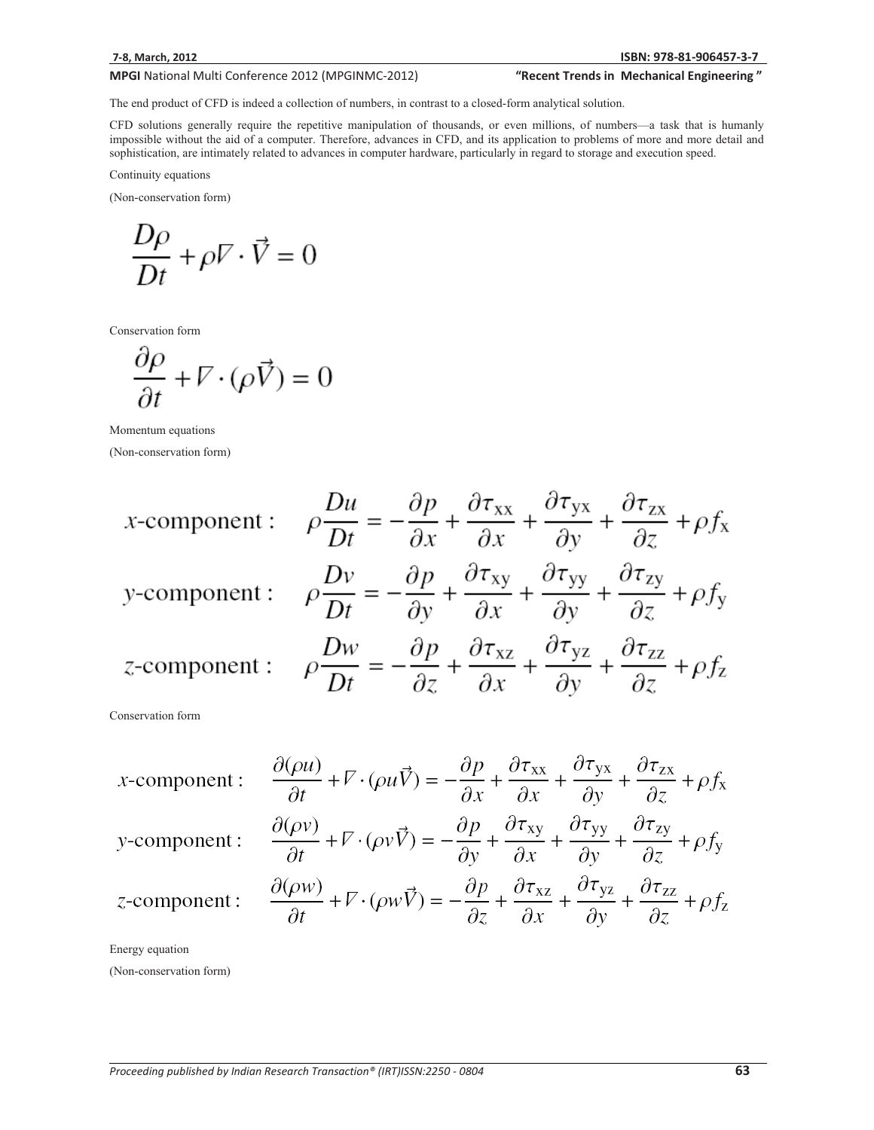# **7-8, March, 2012** ISBN: 978-

### MPGI National Multi Conference 2012 (MPGINMC-2012)

"Recent Trends in Mechanical Engineering"

The end product of CFD is indeed a collection of numbers, in contrast to a closed-form analytical solution.

CFD solutions generally require the repetitive manipulation of thousands, or even millions, of numbers—a task that is humanly impossible without the aid of a computer. Therefore, advances in CFD, and its application to problems of more and more detail and sophistication, are intimately related to advances in computer hardware, particularly in regard to storage and execution speed.

Continuity equations

(Non-conservation form)

$$
\frac{D\rho}{Dt} + \rho \nabla \cdot \vec{V} = 0
$$

Conservation form

J,

$$
\frac{\partial \rho}{\partial t} + \nabla \cdot (\rho \vec{V}) = 0
$$

Momentum equations

(Non-conservation form)

*x*-component: 
$$
\rho \frac{Du}{Dt} = -\frac{\partial p}{\partial x} + \frac{\partial \tau_{xx}}{\partial x} + \frac{\partial \tau_{yx}}{\partial y} + \frac{\partial \tau_{zx}}{\partial z} + \rho f_x
$$
  
\n*y*-component:  $\rho \frac{Dv}{Dt} = -\frac{\partial p}{\partial y} + \frac{\partial \tau_{xy}}{\partial x} + \frac{\partial \tau_{yy}}{\partial y} + \frac{\partial \tau_{zy}}{\partial z} + \rho f_y$   
\n*z*-component:  $\rho \frac{Dw}{Dt} = -\frac{\partial p}{\partial z} + \frac{\partial \tau_{xz}}{\partial x} + \frac{\partial \tau_{yz}}{\partial y} + \frac{\partial \tau_{zz}}{\partial z} + \rho f_z$ 

Conservation form

*x*-component: 
$$
\frac{\partial(\rho u)}{\partial t} + \nabla \cdot (\rho u \vec{V}) = -\frac{\partial p}{\partial x} + \frac{\partial \tau_{xx}}{\partial x} + \frac{\partial \tau_{yx}}{\partial y} + \frac{\partial \tau_{zx}}{\partial z} + \rho f_x
$$
  
*y*-component: 
$$
\frac{\partial(\rho v)}{\partial t} + \nabla \cdot (\rho v \vec{V}) = -\frac{\partial p}{\partial y} + \frac{\partial \tau_{xy}}{\partial x} + \frac{\partial \tau_{yy}}{\partial y} + \frac{\partial \tau_{zy}}{\partial z} + \rho f_y
$$
  
*z*-component: 
$$
\frac{\partial(\rho w)}{\partial t} + \nabla \cdot (\rho w \vec{V}) = -\frac{\partial p}{\partial z} + \frac{\partial \tau_{xz}}{\partial x} + \frac{\partial \tau_{yz}}{\partial y} + \frac{\partial \tau_{zz}}{\partial z} + \rho f_z
$$

Energy equation

(Non-conservation form)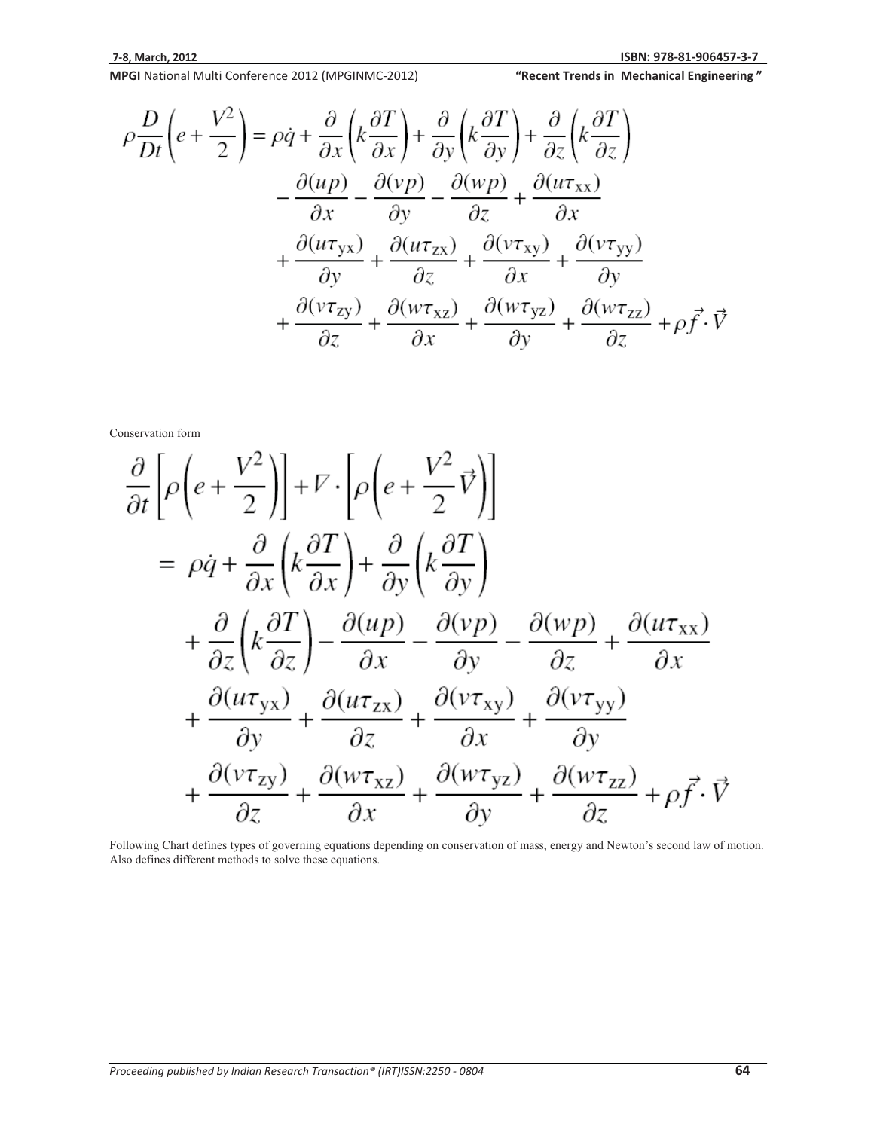"Recent Trends in Mechanical Engineering"

$$
\rho \frac{D}{Dt} \left( e + \frac{V^2}{2} \right) = \rho \dot{q} + \frac{\partial}{\partial x} \left( k \frac{\partial T}{\partial x} \right) + \frac{\partial}{\partial y} \left( k \frac{\partial T}{\partial y} \right) + \frac{\partial}{\partial z} \left( k \frac{\partial T}{\partial z} \right) \n- \frac{\partial (up)}{\partial x} - \frac{\partial (vp)}{\partial y} - \frac{\partial (vp)}{\partial z} + \frac{\partial (ur_{xx})}{\partial x} \n+ \frac{\partial (ur_{yx})}{\partial y} + \frac{\partial (ur_{zx})}{\partial z} + \frac{\partial (v_{xy})}{\partial x} + \frac{\partial (v_{xy})}{\partial y} \n+ \frac{\partial (v_{xy})}{\partial z} + \frac{\partial (w_{xy})}{\partial x} + \frac{\partial (w_{xy})}{\partial y} + \frac{\partial (w_{yz})}{\partial z} + \rho \vec{f} \cdot \vec{V}
$$

Conservation form

$$
\frac{\partial}{\partial t} \left[ \rho \left( e + \frac{V^2}{2} \right) \right] + \nabla \cdot \left[ \rho \left( e + \frac{V^2}{2} \vec{V} \right) \right]
$$
\n
$$
= \rho \dot{q} + \frac{\partial}{\partial x} \left( k \frac{\partial T}{\partial x} \right) + \frac{\partial}{\partial y} \left( k \frac{\partial T}{\partial y} \right)
$$
\n
$$
+ \frac{\partial}{\partial z} \left( k \frac{\partial T}{\partial z} \right) - \frac{\partial (up)}{\partial x} - \frac{\partial (vp)}{\partial y} - \frac{\partial (wp)}{\partial z} + \frac{\partial (u\tau_{xx})}{\partial x}
$$
\n
$$
+ \frac{\partial (u\tau_{yx})}{\partial y} + \frac{\partial (u\tau_{zx})}{\partial z} + \frac{\partial (v\tau_{xy})}{\partial x} + \frac{\partial (v\tau_{yy})}{\partial y}
$$
\n
$$
+ \frac{\partial (v\tau_{zy})}{\partial z} + \frac{\partial (w\tau_{xz})}{\partial x} + \frac{\partial (w\tau_{yz})}{\partial y} + \frac{\partial (w\tau_{zz})}{\partial z} + \rho \vec{f} \cdot \vec{V}
$$

Following Chart defines types of governing equations depending on conservation of mass, energy and Newton's second law of motion. Also defines different methods to solve these equations.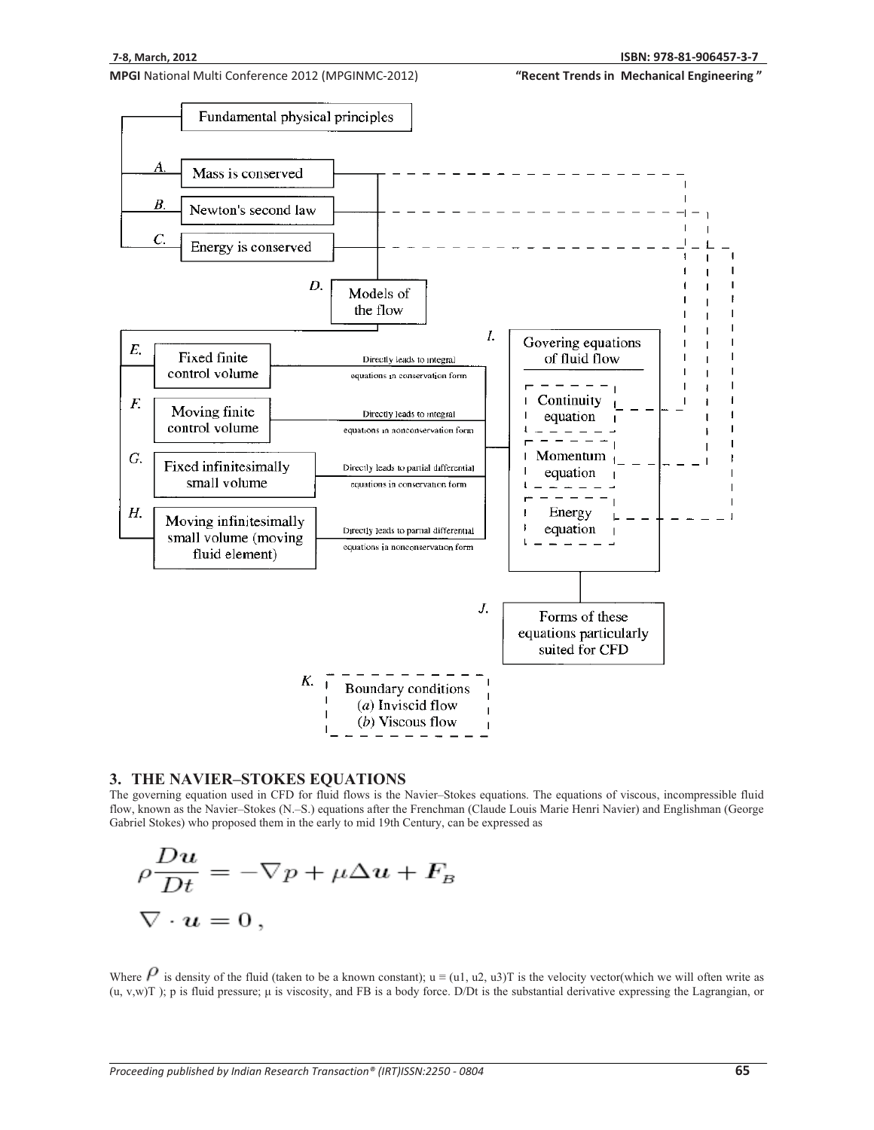### MPGI National Multi Conference 2012 (MPGINMC-2012)



#### **3. THE NAVIER–STOKES EQUATIONS**

The governing equation used in CFD for fluid flows is the Navier–Stokes equations. The equations of viscous, incompressible fluid flow, known as the Navier–Stokes (N.–S.) equations after the Frenchman (Claude Louis Marie Henri Navier) and Englishman (George Gabriel Stokes) who proposed them in the early to mid 19th Century, can be expressed as

$$
\rho \frac{Du}{Dt} = -\nabla p + \mu \Delta u + F_B
$$
  

$$
\nabla \cdot u = 0,
$$

Where  $\mathcal V$  is density of the fluid (taken to be a known constant);  $u = (u_1, u_2, u_3)$  is the velocity vector(which we will often write as  $(u, v, w)$ T ); p is fluid pressure;  $\mu$  is viscosity, and FB is a body force. D/Dt is the substantial derivative expressing the Lagrangian, or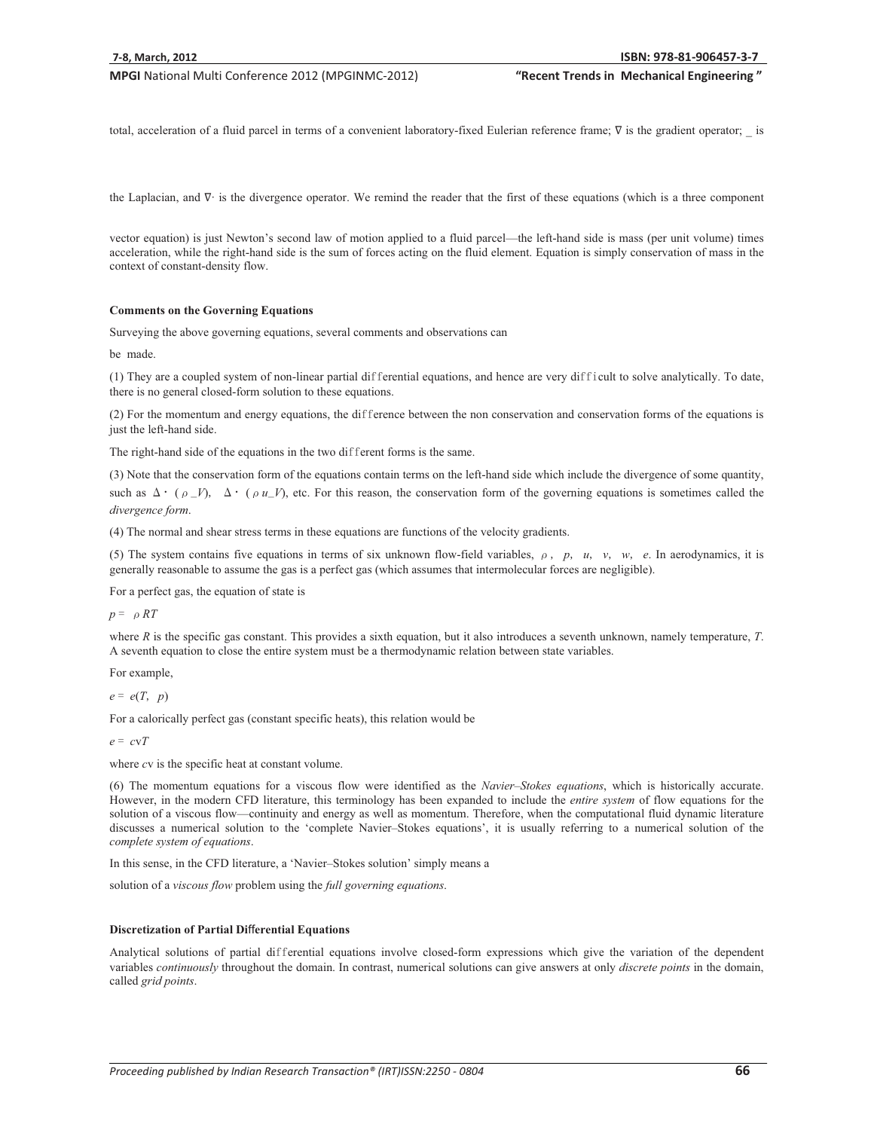total, acceleration of a fluid parcel in terms of a convenient laboratory-fixed Eulerian reference frame;  $\nabla$  is the gradient operator;  $\angle$  is

the Laplacian, and  $\nabla$  is the divergence operator. We remind the reader that the first of these equations (which is a three component

vector equation) is just Newton's second law of motion applied to a fluid parcel—the left-hand side is mass (per unit volume) times acceleration, while the right-hand side is the sum of forces acting on the fluid element. Equation is simply conservation of mass in the context of constant-density flow.

#### **Comments on the Governing Equations**

Surveying the above governing equations, several comments and observations can

be made.

(1) They are a coupled system of non-linear partial differential equations, and hence are very difficult to solve analytically. To date, there is no general closed-form solution to these equations.

 $(2)$  For the momentum and energy equations, the difference between the non conservation and conservation forms of the equations is just the left-hand side.

The right-hand side of the equations in the two different forms is the same.

(3) Note that the conservation form of the equations contain terms on the left-hand side which include the divergence of some quantity, such as  $\Delta \cdot (\rho \mathcal{L}V)$ ,  $\Delta \cdot (\rho \mathcal{L}V)$ , etc. For this reason, the conservation form of the governing equations is sometimes called the *divergence form*.

(4) The normal and shear stress terms in these equations are functions of the velocity gradients.

(5) The system contains five equations in terms of six unknown flow-field variables,  $\rho$ ,  $p$ ,  $u$ ,  $v$ ,  $w$ ,  $e$ . In aerodynamics, it is generally reasonable to assume the gas is a perfect gas (which assumes that intermolecular forces are negligible).

For a perfect gas, the equation of state is

*p* -ǹ*RT* 

where *R* is the specific gas constant. This provides a sixth equation, but it also introduces a seventh unknown, namely temperature, *T*. A seventh equation to close the entire system must be a thermodynamic relation between state variables.

For example,

 $e = e(T, p)$ 

For a calorically perfect gas (constant specific heats), this relation would be

 $e = cvT$ 

where *cv* is the specific heat at constant volume.

(6) The momentum equations for a viscous flow were identified as the *Navier–Stokes equations*, which is historically accurate. However, in the modern CFD literature, this terminology has been expanded to include the *entire system* of flow equations for the solution of a viscous flow—continuity and energy as well as momentum. Therefore, when the computational fluid dynamic literature discusses a numerical solution to the 'complete Navier–Stokes equations', it is usually referring to a numerical solution of the *complete system of equations*.

In this sense, in the CFD literature, a 'Navier–Stokes solution' simply means a

solution of a *viscous flow* problem using the *full governing equations*.

#### **Discretization of Partial Di**ff**erential Equations**

Analytical solutions of partial differential equations involve closed-form expressions which give the variation of the dependent variables *continuously* throughout the domain. In contrast, numerical solutions can give answers at only *discrete points* in the domain, called *grid points*.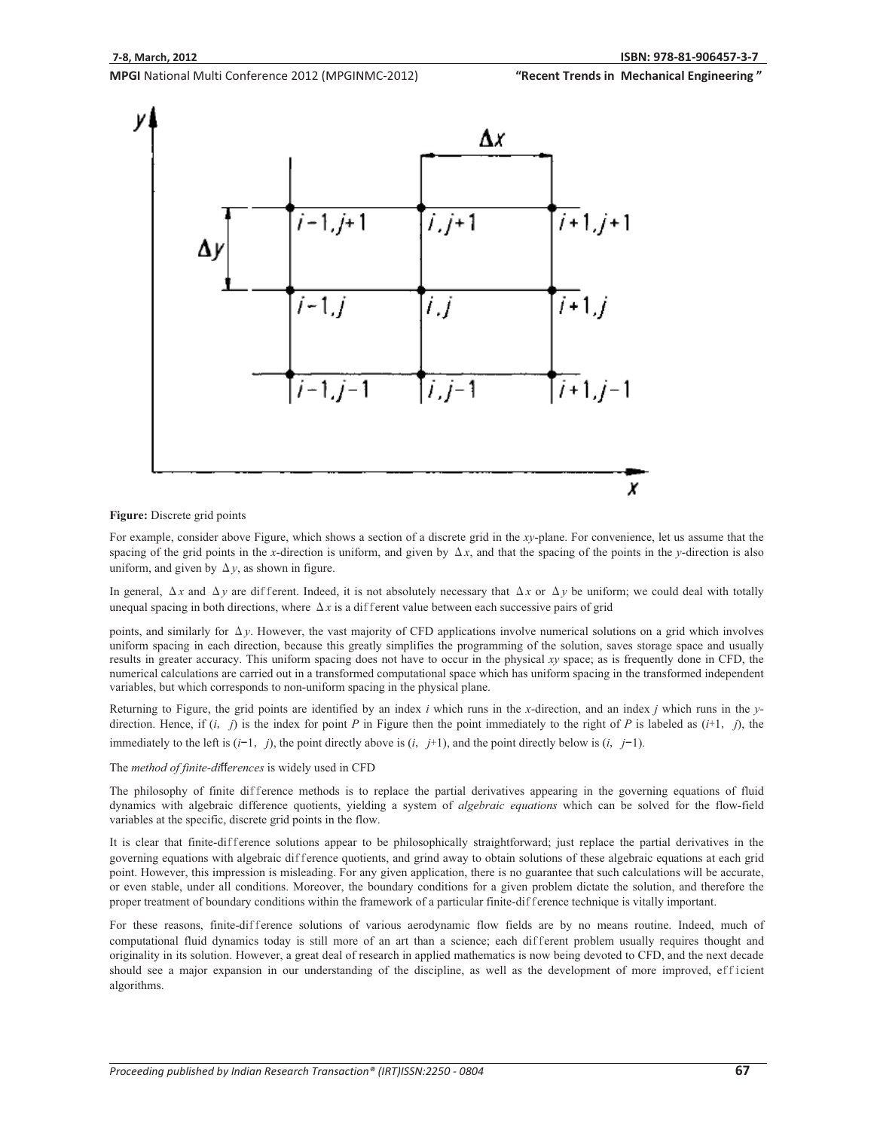"Recent Trends in Mechanical Engineering"



#### **Figure:** Discrete grid points

For example, consider above Figure, which shows a section of a discrete grid in the *xy*-plane. For convenience, let us assume that the spacing of the grid points in the *x*-direction is uniform, and given by  $\Delta x$ , and that the spacing of the points in the *y*-direction is also uniform, and given by  $\Delta y$ , as shown in figure.

In general,  $\Delta x$  and  $\Delta y$  are different. Indeed, it is not absolutely necessary that  $\Delta x$  or  $\Delta y$  be uniform; we could deal with totally unequal spacing in both directions, where  $\Delta x$  is a different value between each successive pairs of grid

points, and similarly for  $\Delta y$ . However, the vast majority of CFD applications involve numerical solutions on a grid which involves uniform spacing in each direction, because this greatly simplifies the programming of the solution, saves storage space and usually results in greater accuracy. This uniform spacing does not have to occur in the physical *xy* space; as is frequently done in CFD, the numerical calculations are carried out in a transformed computational space which has uniform spacing in the transformed independent variables, but which corresponds to non-uniform spacing in the physical plane.

Returning to Figure, the grid points are identified by an index *i* which runs in the *x*-direction, and an index *j* which runs in the *y*direction. Hence, if  $(i, j)$  is the index for point *P* in Figure then the point immediately to the right of *P* is labeled as  $(i+1, j)$ , the immediately to the left is  $(i-1, j)$ , the point directly above is  $(i, j+1)$ , and the point directly below is  $(i, j-1)$ .

The *method of finite-di*ff*erences* is widely used in CFD

The philosophy of finite difference methods is to replace the partial derivatives appearing in the governing equations of fluid dynamics with algebraic difference quotients, yielding a system of *algebraic equations* which can be solved for the flow-field variables at the specific, discrete grid points in the flow.

It is clear that finite-difference solutions appear to be philosophically straightforward; just replace the partial derivatives in the governing equations with algebraic difference quotients, and grind away to obtain solutions of these algebraic equations at each grid point. However, this impression is misleading. For any given application, there is no guarantee that such calculations will be accurate, or even stable, under all conditions. Moreover, the boundary conditions for a given problem dictate the solution, and therefore the proper treatment of boundary conditions within the framework of a particular finite-difference technique is vitally important.

For these reasons, finite-difference solutions of various aerodynamic flow fields are by no means routine. Indeed, much of computational fluid dynamics today is still more of an art than a science; each different problem usually requires thought and originality in its solution. However, a great deal of research in applied mathematics is now being devoted to CFD, and the next decade should see a major expansion in our understanding of the discipline, as well as the development of more improved, efficient algorithms.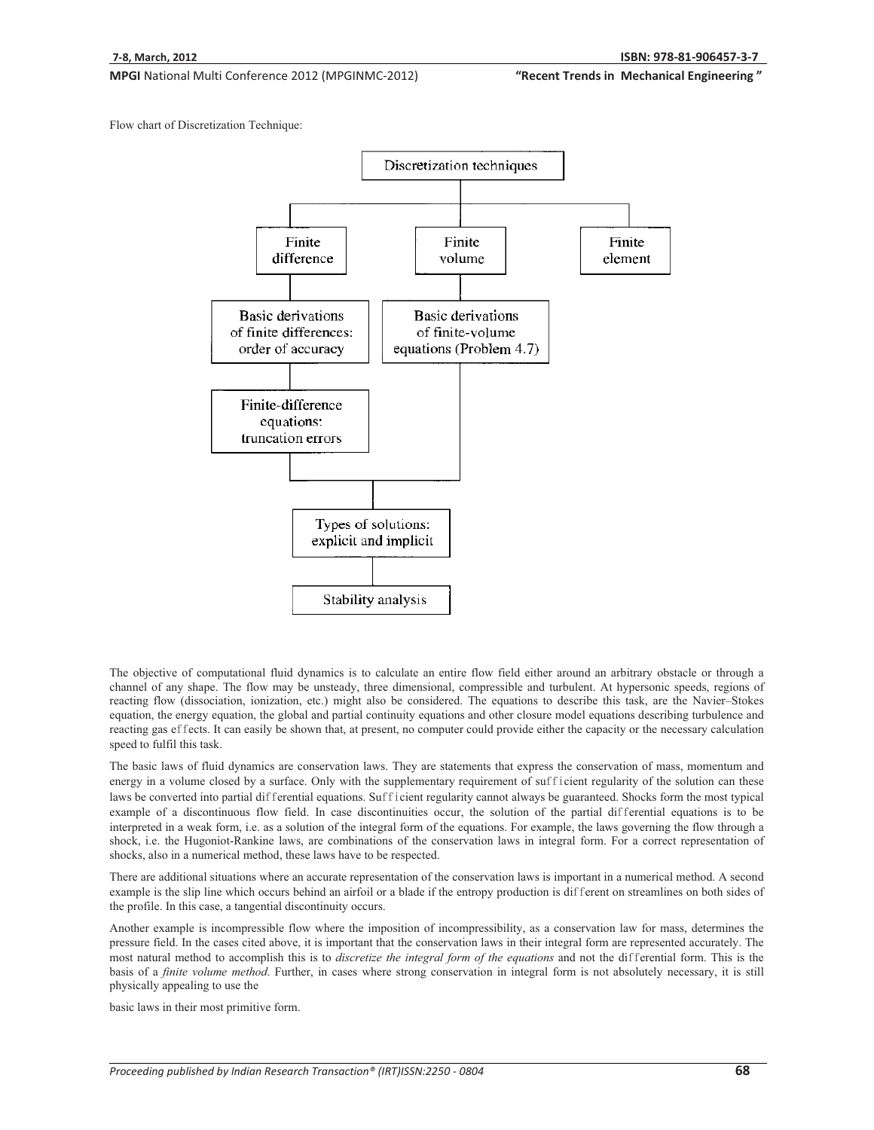Flow chart of Discretization Technique:



The objective of computational fluid dynamics is to calculate an entire flow field either around an arbitrary obstacle or through a channel of any shape. The flow may be unsteady, three dimensional, compressible and turbulent. At hypersonic speeds, regions of reacting flow (dissociation, ionization, etc.) might also be considered. The equations to describe this task, are the Navier–Stokes equation, the energy equation, the global and partial continuity equations and other closure model equations describing turbulence and reacting gas effects. It can easily be shown that, at present, no computer could provide either the capacity or the necessary calculation speed to fulfil this task.

The basic laws of fluid dynamics are conservation laws. They are statements that express the conservation of mass, momentum and energy in a volume closed by a surface. Only with the supplementary requirement of sufficient regularity of the solution can these laws be converted into partial differential equations. Sufficient regularity cannot always be guaranteed. Shocks form the most typical example of a discontinuous flow field. In case discontinuities occur, the solution of the partial differential equations is to be interpreted in a weak form, i.e. as a solution of the integral form of the equations. For example, the laws governing the flow through a shock, i.e. the Hugoniot-Rankine laws, are combinations of the conservation laws in integral form. For a correct representation of shocks, also in a numerical method, these laws have to be respected.

There are additional situations where an accurate representation of the conservation laws is important in a numerical method. A second example is the slip line which occurs behind an airfoil or a blade if the entropy production is different on streamlines on both sides of the profile. In this case, a tangential discontinuity occurs.

Another example is incompressible flow where the imposition of incompressibility, as a conservation law for mass, determines the pressure field. In the cases cited above, it is important that the conservation laws in their integral form are represented accurately. The most natural method to accomplish this is to *discretize the integral form of the equations* and not the differential form. This is the basis of a *finite volume method*. Further, in cases where strong conservation in integral form is not absolutely necessary, it is still physically appealing to use the

basic laws in their most primitive form.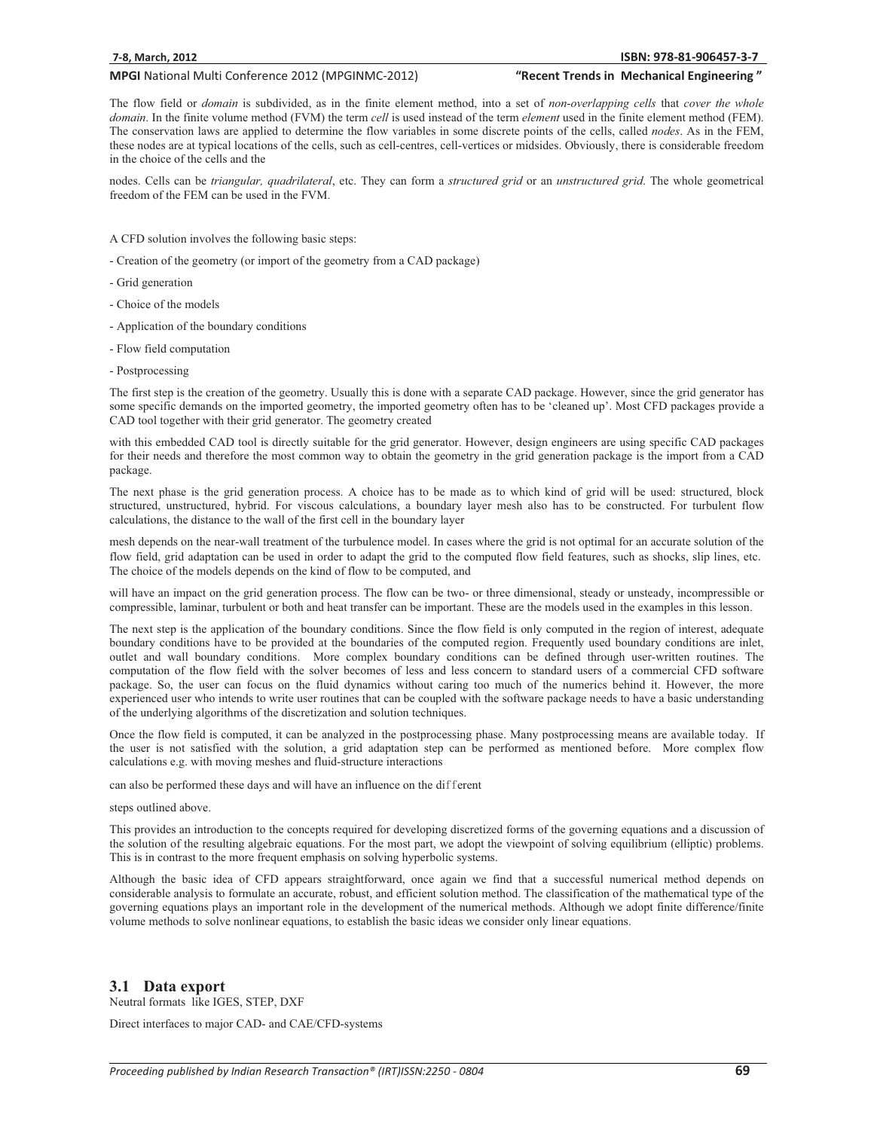The flow field or *domain* is subdivided, as in the finite element method, into a set of *non-overlapping cells* that *cover the whole domain*. In the finite volume method (FVM) the term *cell* is used instead of the term *element* used in the finite element method (FEM). The conservation laws are applied to determine the flow variables in some discrete points of the cells, called *nodes*. As in the FEM, these nodes are at typical locations of the cells, such as cell-centres, cell-vertices or midsides. Obviously, there is considerable freedom in the choice of the cells and the

nodes. Cells can be *triangular, quadrilateral*, etc. They can form a *structured grid* or an *unstructured grid*. The whole geometrical freedom of the FEM can be used in the FVM.

- A CFD solution involves the following basic steps:
- Creation of the geometry (or import of the geometry from a CAD package)
- Grid generation
- Choice of the models
- Application of the boundary conditions
- Flow field computation
- Postprocessing

The first step is the creation of the geometry. Usually this is done with a separate CAD package. However, since the grid generator has some specific demands on the imported geometry, the imported geometry often has to be 'cleaned up'. Most CFD packages provide a CAD tool together with their grid generator. The geometry created

with this embedded CAD tool is directly suitable for the grid generator. However, design engineers are using specific CAD packages for their needs and therefore the most common way to obtain the geometry in the grid generation package is the import from a CAD package.

The next phase is the grid generation process. A choice has to be made as to which kind of grid will be used: structured, block structured, unstructured, hybrid. For viscous calculations, a boundary layer mesh also has to be constructed. For turbulent flow calculations, the distance to the wall of the first cell in the boundary layer

mesh depends on the near-wall treatment of the turbulence model. In cases where the grid is not optimal for an accurate solution of the flow field, grid adaptation can be used in order to adapt the grid to the computed flow field features, such as shocks, slip lines, etc. The choice of the models depends on the kind of flow to be computed, and

will have an impact on the grid generation process. The flow can be two- or three dimensional, steady or unsteady, incompressible or compressible, laminar, turbulent or both and heat transfer can be important. These are the models used in the examples in this lesson.

The next step is the application of the boundary conditions. Since the flow field is only computed in the region of interest, adequate boundary conditions have to be provided at the boundaries of the computed region. Frequently used boundary conditions are inlet, outlet and wall boundary conditions. More complex boundary conditions can be defined through user-written routines. The computation of the flow field with the solver becomes of less and less concern to standard users of a commercial CFD software package. So, the user can focus on the fluid dynamics without caring too much of the numerics behind it. However, the more experienced user who intends to write user routines that can be coupled with the software package needs to have a basic understanding of the underlying algorithms of the discretization and solution techniques.

Once the flow field is computed, it can be analyzed in the postprocessing phase. Many postprocessing means are available today. If the user is not satisfied with the solution, a grid adaptation step can be performed as mentioned before. More complex flow calculations e.g. with moving meshes and fluid-structure interactions

can also be performed these days and will have an influence on the different

steps outlined above.

This provides an introduction to the concepts required for developing discretized forms of the governing equations and a discussion of the solution of the resulting algebraic equations. For the most part, we adopt the viewpoint of solving equilibrium (elliptic) problems. This is in contrast to the more frequent emphasis on solving hyperbolic systems.

Although the basic idea of CFD appears straightforward, once again we find that a successful numerical method depends on considerable analysis to formulate an accurate, robust, and efficient solution method. The classification of the mathematical type of the governing equations plays an important role in the development of the numerical methods. Although we adopt finite difference/finite volume methods to solve nonlinear equations, to establish the basic ideas we consider only linear equations.

#### **3.1 Data export**

Neutral formats like IGES, STEP, DXF

Direct interfaces to major CAD- and CAE/CFD-systems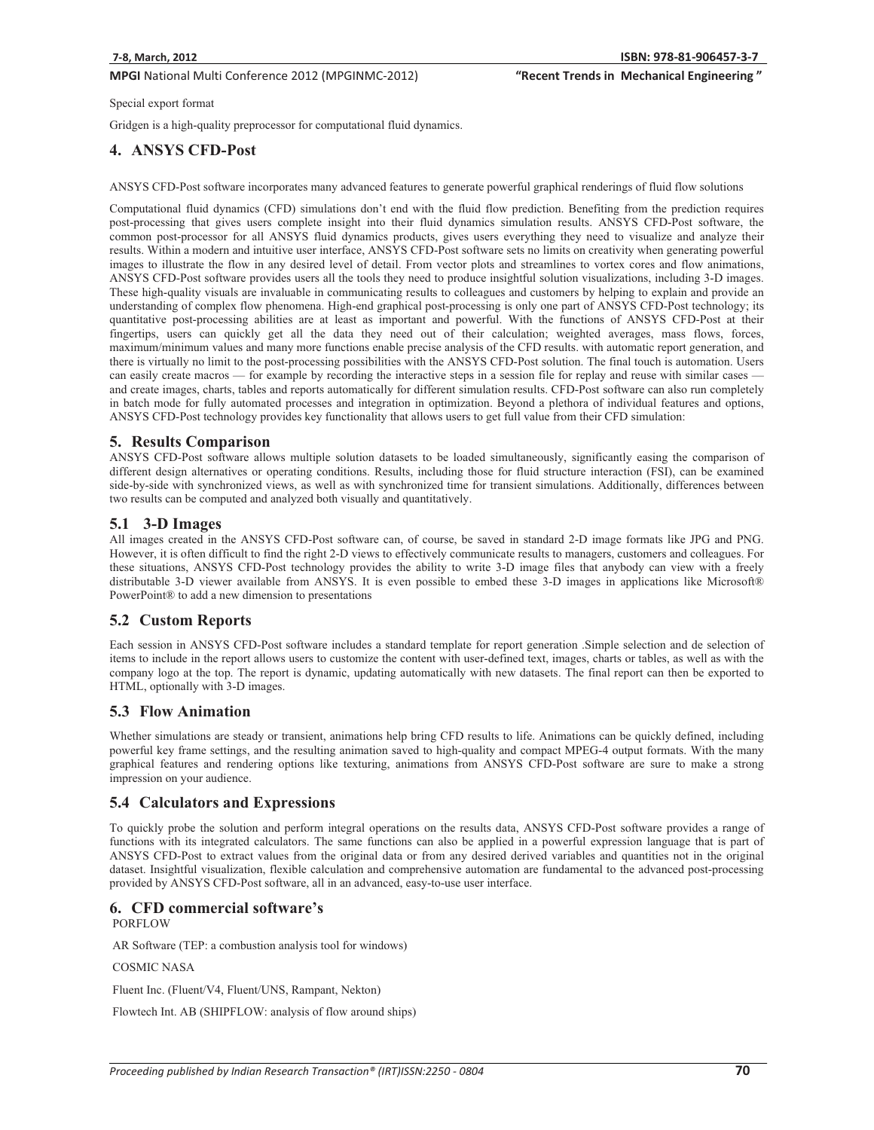"Recent Trends in Mechanical Engineering"

Special export format

Gridgen is a high-quality preprocessor for computational fluid dynamics.

### **4. ANSYS CFD-Post**

ANSYS CFD-Post software incorporates many advanced features to generate powerful graphical renderings of fluid flow solutions

Computational fluid dynamics (CFD) simulations don't end with the fluid flow prediction. Benefiting from the prediction requires post-processing that gives users complete insight into their fluid dynamics simulation results. ANSYS CFD-Post software, the common post-processor for all ANSYS fluid dynamics products, gives users everything they need to visualize and analyze their results. Within a modern and intuitive user interface, ANSYS CFD-Post software sets no limits on creativity when generating powerful images to illustrate the flow in any desired level of detail. From vector plots and streamlines to vortex cores and flow animations, ANSYS CFD-Post software provides users all the tools they need to produce insightful solution visualizations, including 3-D images. These high-quality visuals are invaluable in communicating results to colleagues and customers by helping to explain and provide an understanding of complex flow phenomena. High-end graphical post-processing is only one part of ANSYS CFD-Post technology; its quantitative post-processing abilities are at least as important and powerful. With the functions of ANSYS CFD-Post at their fingertips, users can quickly get all the data they need out of their calculation; weighted averages, mass flows, forces, maximum/minimum values and many more functions enable precise analysis of the CFD results. with automatic report generation, and there is virtually no limit to the post-processing possibilities with the ANSYS CFD-Post solution. The final touch is automation. Users can easily create macros — for example by recording the interactive steps in a session file for replay and reuse with similar cases and create images, charts, tables and reports automatically for different simulation results. CFD-Post software can also run completely in batch mode for fully automated processes and integration in optimization. Beyond a plethora of individual features and options, ANSYS CFD-Post technology provides key functionality that allows users to get full value from their CFD simulation:

#### **5. Results Comparison**

ANSYS CFD-Post software allows multiple solution datasets to be loaded simultaneously, significantly easing the comparison of different design alternatives or operating conditions. Results, including those for fluid structure interaction (FSI), can be examined side-by-side with synchronized views, as well as with synchronized time for transient simulations. Additionally, differences between two results can be computed and analyzed both visually and quantitatively.

#### **5.1 3-D Images**

All images created in the ANSYS CFD-Post software can, of course, be saved in standard 2-D image formats like JPG and PNG. However, it is often difficult to find the right 2-D views to effectively communicate results to managers, customers and colleagues. For these situations, ANSYS CFD-Post technology provides the ability to write 3-D image files that anybody can view with a freely distributable 3-D viewer available from ANSYS. It is even possible to embed these 3-D images in applications like Microsoft® PowerPoint® to add a new dimension to presentations

#### **5.2 Custom Reports**

Each session in ANSYS CFD-Post software includes a standard template for report generation .Simple selection and de selection of items to include in the report allows users to customize the content with user-defined text, images, charts or tables, as well as with the company logo at the top. The report is dynamic, updating automatically with new datasets. The final report can then be exported to HTML, optionally with 3-D images.

#### **5.3 Flow Animation**

Whether simulations are steady or transient, animations help bring CFD results to life. Animations can be quickly defined, including powerful key frame settings, and the resulting animation saved to high-quality and compact MPEG-4 output formats. With the many graphical features and rendering options like texturing, animations from ANSYS CFD-Post software are sure to make a strong impression on your audience.

#### **5.4 Calculators and Expressions**

To quickly probe the solution and perform integral operations on the results data, ANSYS CFD-Post software provides a range of functions with its integrated calculators. The same functions can also be applied in a powerful expression language that is part of ANSYS CFD-Post to extract values from the original data or from any desired derived variables and quantities not in the original dataset. Insightful visualization, flexible calculation and comprehensive automation are fundamental to the advanced post-processing provided by ANSYS CFD-Post software, all in an advanced, easy-to-use user interface.

#### **6. CFD commercial software's**

PORFLOW

AR Software (TEP: a combustion analysis tool for windows)

#### COSMIC NASA

Fluent Inc. (Fluent/V4, Fluent/UNS, Rampant, Nekton)

Flowtech Int. AB (SHIPFLOW: analysis of flow around ships)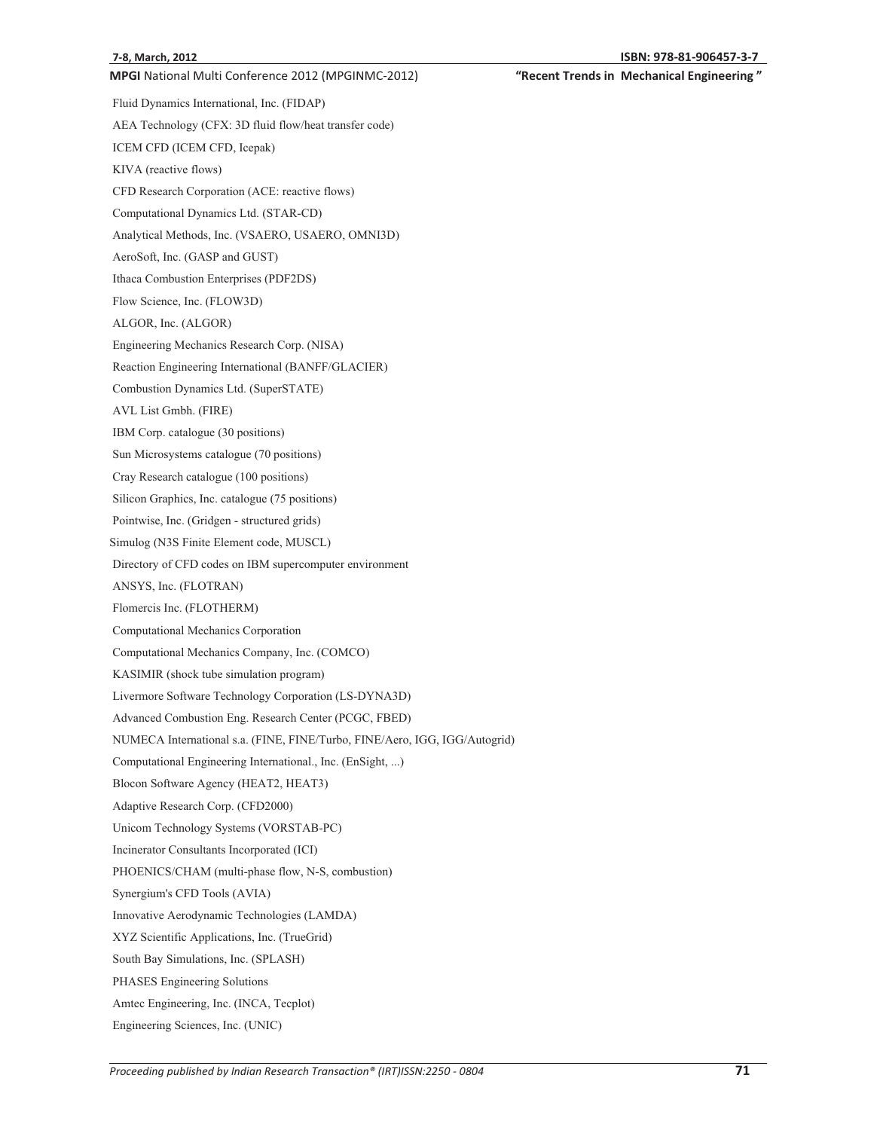MPGI National Multi Conference 2012 (MPGINMC-2012) Fluid Dynamics International, Inc. (FIDAP) AEA Technology (CFX: 3D fluid flow/heat transfer code) ICEM CFD (ICEM CFD, Icepak) KIVA (reactive flows) CFD Research Corporation (ACE: reactive flows) Computational Dynamics Ltd. (STAR-CD) Analytical Methods, Inc. (VSAERO, USAERO, OMNI3D) AeroSoft, Inc. (GASP and GUST) Ithaca Combustion Enterprises (PDF2DS) Flow Science, Inc. (FLOW3D) ALGOR, Inc. (ALGOR) Engineering Mechanics Research Corp. (NISA) Reaction Engineering International (BANFF/GLACIER) Combustion Dynamics Ltd. (SuperSTATE) AVL List Gmbh. (FIRE) IBM Corp. catalogue (30 positions) Sun Microsystems catalogue (70 positions) Cray Research catalogue (100 positions) Silicon Graphics, Inc. catalogue (75 positions) Pointwise, Inc. (Gridgen - structured grids) Simulog (N3S Finite Element code, MUSCL) Directory of CFD codes on IBM supercomputer environment ANSYS, Inc. (FLOTRAN) Flomercis Inc. (FLOTHERM) Computational Mechanics Corporation Computational Mechanics Company, Inc. (COMCO) KASIMIR (shock tube simulation program) Livermore Software Technology Corporation (LS-DYNA3D) Advanced Combustion Eng. Research Center (PCGC, FBED) NUMECA International s.a. (FINE, FINE/Turbo, FINE/Aero, IGG, IGG/Autogrid) Computational Engineering International., Inc. (EnSight, ...) Blocon Software Agency (HEAT2, HEAT3) Adaptive Research Corp. (CFD2000) Unicom Technology Systems (VORSTAB-PC) Incinerator Consultants Incorporated (ICI) PHOENICS/CHAM (multi-phase flow, N-S, combustion) Synergium's CFD Tools (AVIA) Innovative Aerodynamic Technologies (LAMDA) XYZ Scientific Applications, Inc. (TrueGrid) South Bay Simulations, Inc. (SPLASH) PHASES Engineering Solutions Amtec Engineering, Inc. (INCA, Tecplot) Engineering Sciences, Inc. (UNIC)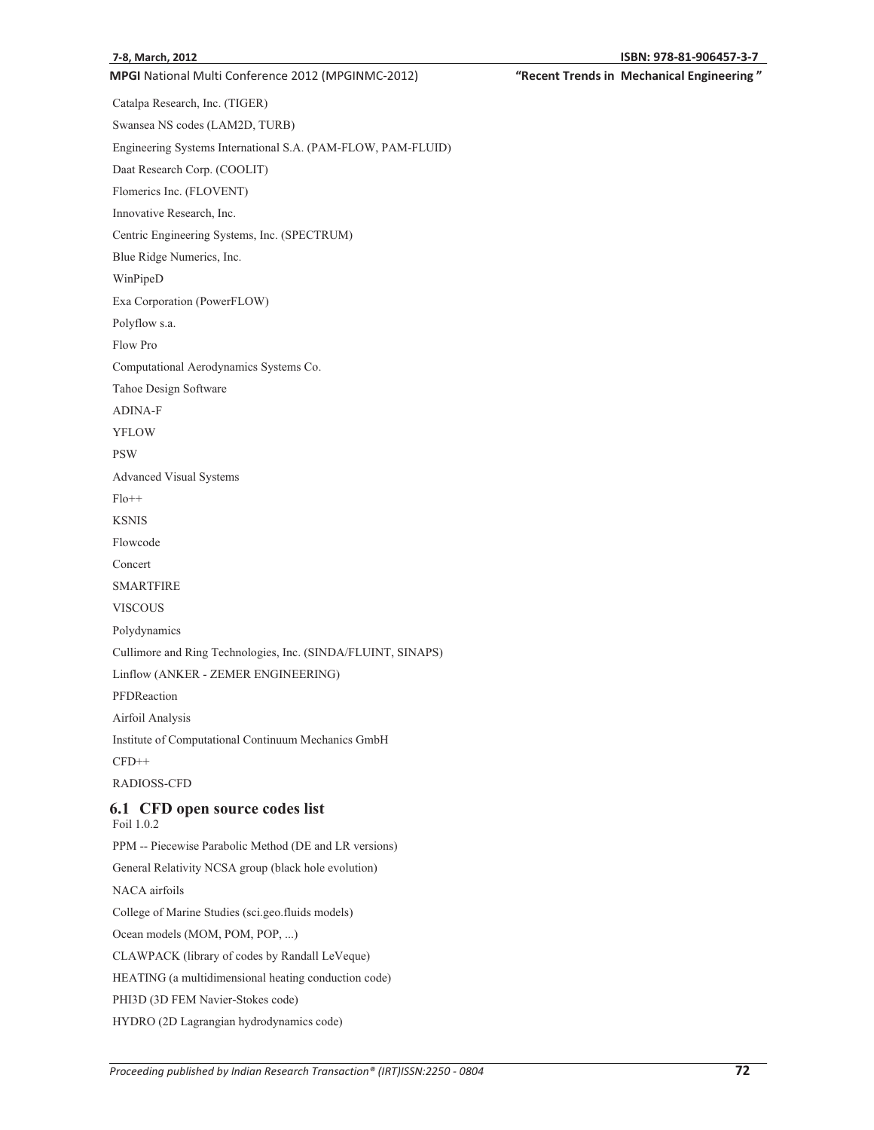MPGI National Multi Conference 2012 (MPGINMC-2012) Catalpa Research, Inc. (TIGER) Swansea NS codes (LAM2D, TURB) Engineering Systems International S.A. (PAM-FLOW, PAM-FLUID) Daat Research Corp. (COOLIT) Flomerics Inc. (FLOVENT) Innovative Research, Inc. Centric Engineering Systems, Inc. (SPECTRUM) Blue Ridge Numerics, Inc. WinPipeD Exa Corporation (PowerFLOW) Polyflow s.a. Flow Pro Computational Aerodynamics Systems Co. Tahoe Design Software ADINA-F YFLOW PSW Advanced Visual Systems  $F1o++$  KSNIS Flowcode Concert SMARTFIRE **VISCOUS**  Polydynamics Cullimore and Ring Technologies, Inc. (SINDA/FLUINT, SINAPS) Linflow (ANKER - ZEMER ENGINEERING) PFDReaction Airfoil Analysis Institute of Computational Continuum Mechanics GmbH CFD++ RADIOSS-CFD **6.1 CFD open source codes list**  Foil 1.0.2 PPM -- Piecewise Parabolic Method (DE and LR versions) General Relativity NCSA group (black hole evolution) NACA airfoils College of Marine Studies (sci.geo.fluids models) Ocean models (MOM, POM, POP, ...) CLAWPACK (library of codes by Randall LeVeque) HEATING (a multidimensional heating conduction code) PHI3D (3D FEM Navier-Stokes code) HYDRO (2D Lagrangian hydrodynamics code)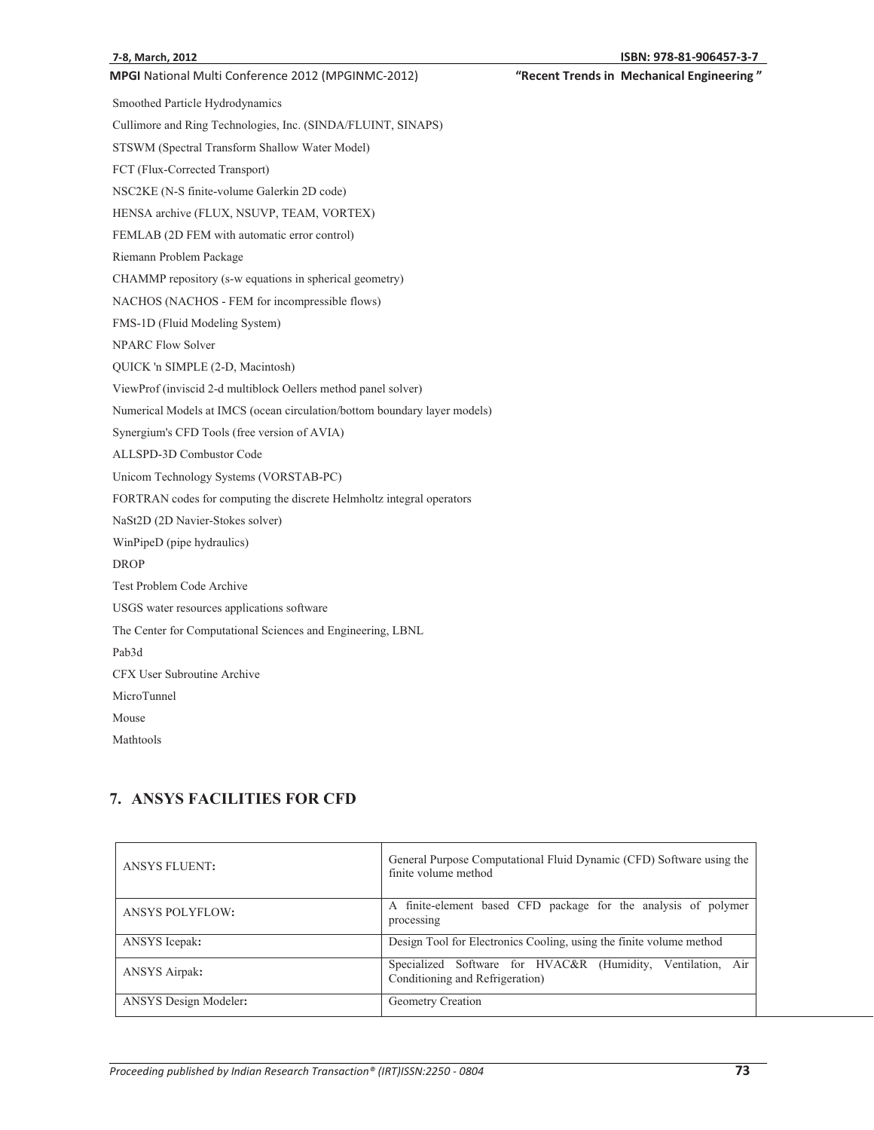Smoothed Particle Hydrodynamics Cullimore and Ring Technologies, Inc. (SINDA/FLUINT, SINAPS) STSWM (Spectral Transform Shallow Water Model) FCT (Flux-Corrected Transport) NSC2KE (N-S finite-volume Galerkin 2D code) HENSA archive (FLUX, NSUVP, TEAM, VORTEX) FEMLAB (2D FEM with automatic error control) Riemann Problem Package CHAMMP repository (s-w equations in spherical geometry) NACHOS (NACHOS - FEM for incompressible flows) FMS-1D (Fluid Modeling System) NPARC Flow Solver QUICK 'n SIMPLE (2-D, Macintosh) ViewProf (inviscid 2-d multiblock Oellers method panel solver) Numerical Models at IMCS (ocean circulation/bottom boundary layer models) Synergium's CFD Tools (free version of AVIA) ALLSPD-3D Combustor Code Unicom Technology Systems (VORSTAB-PC) FORTRAN codes for computing the discrete Helmholtz integral operators NaSt2D (2D Navier-Stokes solver) WinPipeD (pipe hydraulics) DROP Test Problem Code Archive USGS water resources applications software The Center for Computational Sciences and Engineering, LBNL Pab3d CFX User Subroutine Archive MicroTunnel Mouse Mathtools

MPGI National Multi Conference 2012 (MPGINMC-2012)

## **7. ANSYS FACILITIES FOR CFD**

| <b>ANSYS FLUENT:</b>         | General Purpose Computational Fluid Dynamic (CFD) Software using the<br>finite volume method   |
|------------------------------|------------------------------------------------------------------------------------------------|
| ANSYS POLYFLOW:              | A finite-element based CFD package for the analysis of polymer<br>processing                   |
| ANSYS Icepak:                | Design Tool for Electronics Cooling, using the finite volume method                            |
| <b>ANSYS Airpak:</b>         | Specialized Software for HVAC&R (Humidity, Ventilation, Air<br>Conditioning and Refrigeration) |
| <b>ANSYS</b> Design Modeler: | Geometry Creation                                                                              |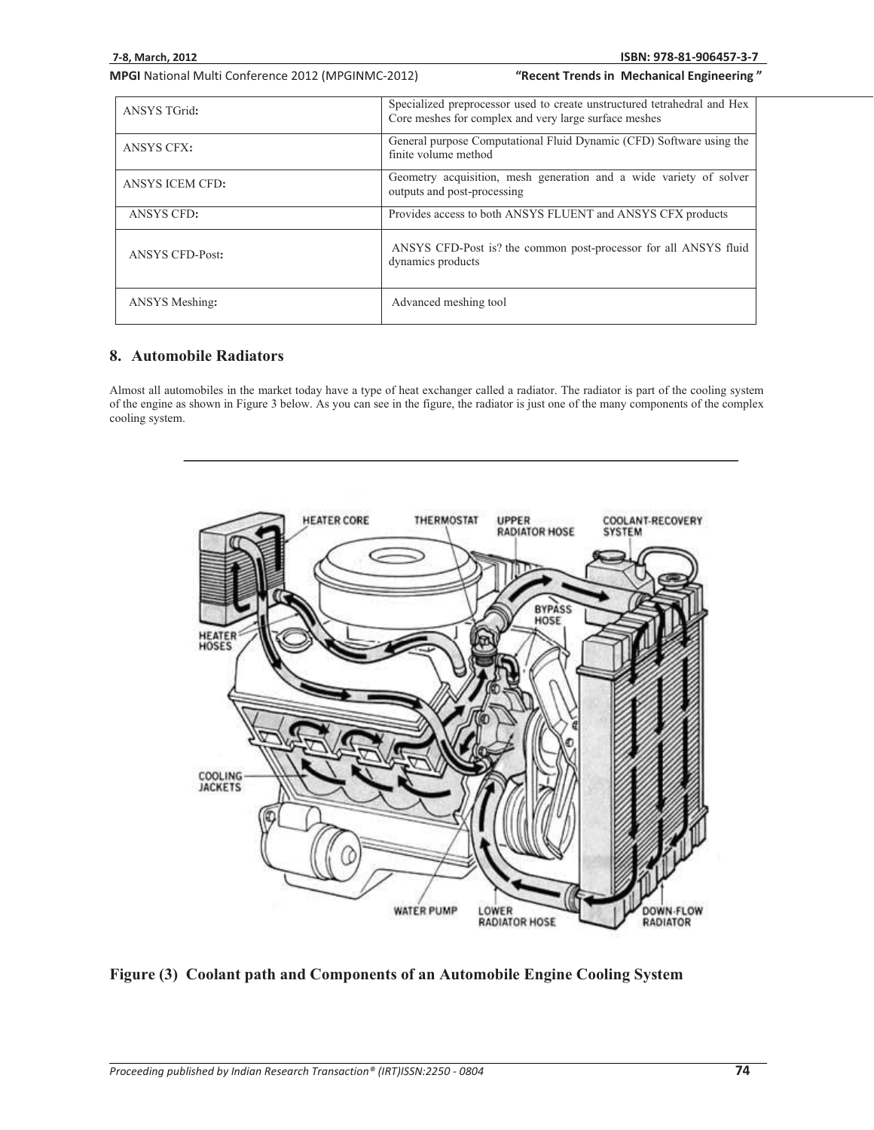"Recent Trends in Mechanical Engineering"

| <b>ANSYS TGrid:</b>    | Specialized preprocessor used to create unstructured tetrahedral and Hex<br>Core meshes for complex and very large surface meshes |
|------------------------|-----------------------------------------------------------------------------------------------------------------------------------|
| ANSYS CFX:             | General purpose Computational Fluid Dynamic (CFD) Software using the<br>finite volume method                                      |
| ANSYS ICEM CFD:        | Geometry acquisition, mesh generation and a wide variety of solver<br>outputs and post-processing                                 |
| <b>ANSYS CFD:</b>      | Provides access to both ANSYS FLUENT and ANSYS CFX products                                                                       |
| <b>ANSYS CFD-Post:</b> | ANSYS CFD-Post is? the common post-processor for all ANSYS fluid<br>dynamics products                                             |
| ANSYS Meshing:         | Advanced meshing tool                                                                                                             |

### **8. Automobile Radiators**

Almost all automobiles in the market today have a type of heat exchanger called a radiator. The radiator is part of the cooling system of the engine as shown in Figure 3 below. As you can see in the figure, the radiator is just one of the many components of the complex cooling system.



### **Figure (3) Coolant path and Components of an Automobile Engine Cooling System**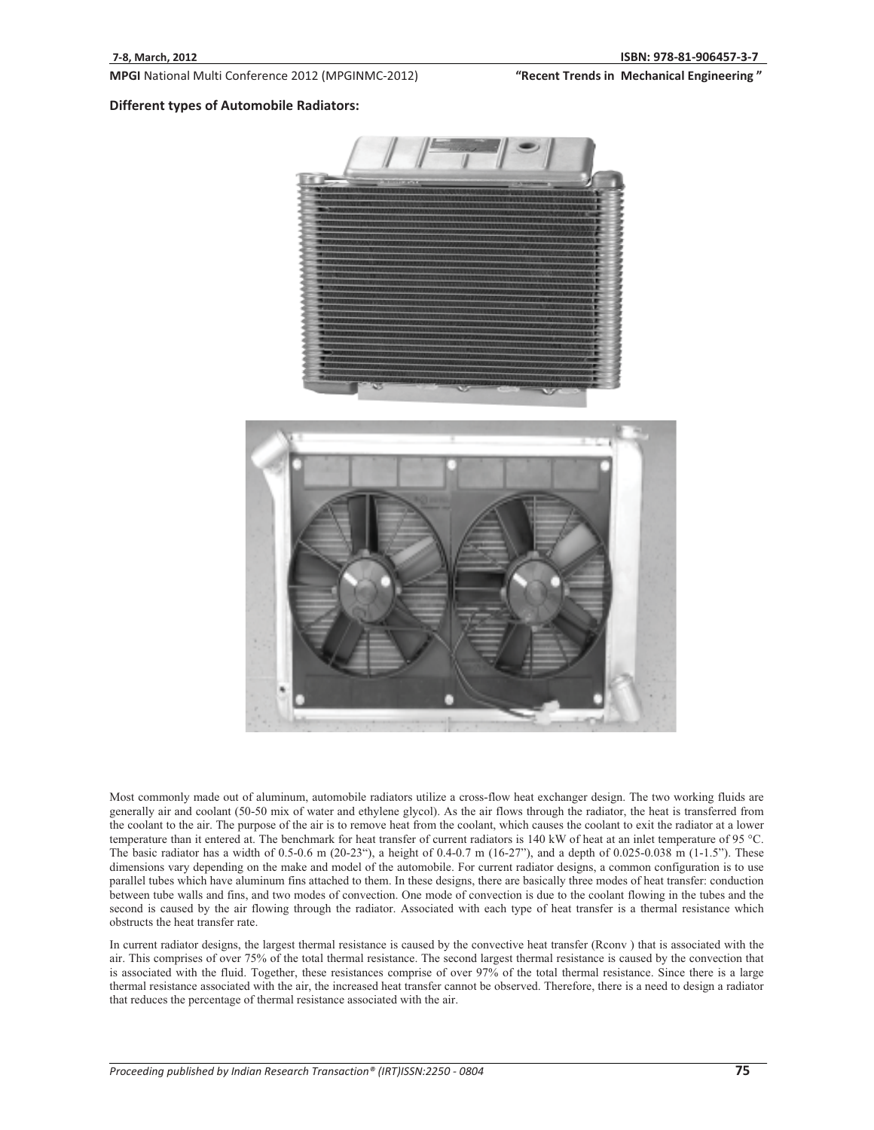"Recent Trends in Mechanical Engineering"

#### **Different types of Automobile Radiators:**



Most commonly made out of aluminum, automobile radiators utilize a cross-flow heat exchanger design. The two working fluids are generally air and coolant (50-50 mix of water and ethylene glycol). As the air flows through the radiator, the heat is transferred from the coolant to the air. The purpose of the air is to remove heat from the coolant, which causes the coolant to exit the radiator at a lower temperature than it entered at. The benchmark for heat transfer of current radiators is 140 kW of heat at an inlet temperature of 95 °C. The basic radiator has a width of 0.5-0.6 m (20-23"), a height of 0.4-0.7 m (16-27"), and a depth of 0.025-0.038 m (1-1.5"). These dimensions vary depending on the make and model of the automobile. For current radiator designs, a common configuration is to use parallel tubes which have aluminum fins attached to them. In these designs, there are basically three modes of heat transfer: conduction between tube walls and fins, and two modes of convection. One mode of convection is due to the coolant flowing in the tubes and the second is caused by the air flowing through the radiator. Associated with each type of heat transfer is a thermal resistance which obstructs the heat transfer rate.

In current radiator designs, the largest thermal resistance is caused by the convective heat transfer (Rconv ) that is associated with the air. This comprises of over 75% of the total thermal resistance. The second largest thermal resistance is caused by the convection that is associated with the fluid. Together, these resistances comprise of over 97% of the total thermal resistance. Since there is a large thermal resistance associated with the air, the increased heat transfer cannot be observed. Therefore, there is a need to design a radiator that reduces the percentage of thermal resistance associated with the air.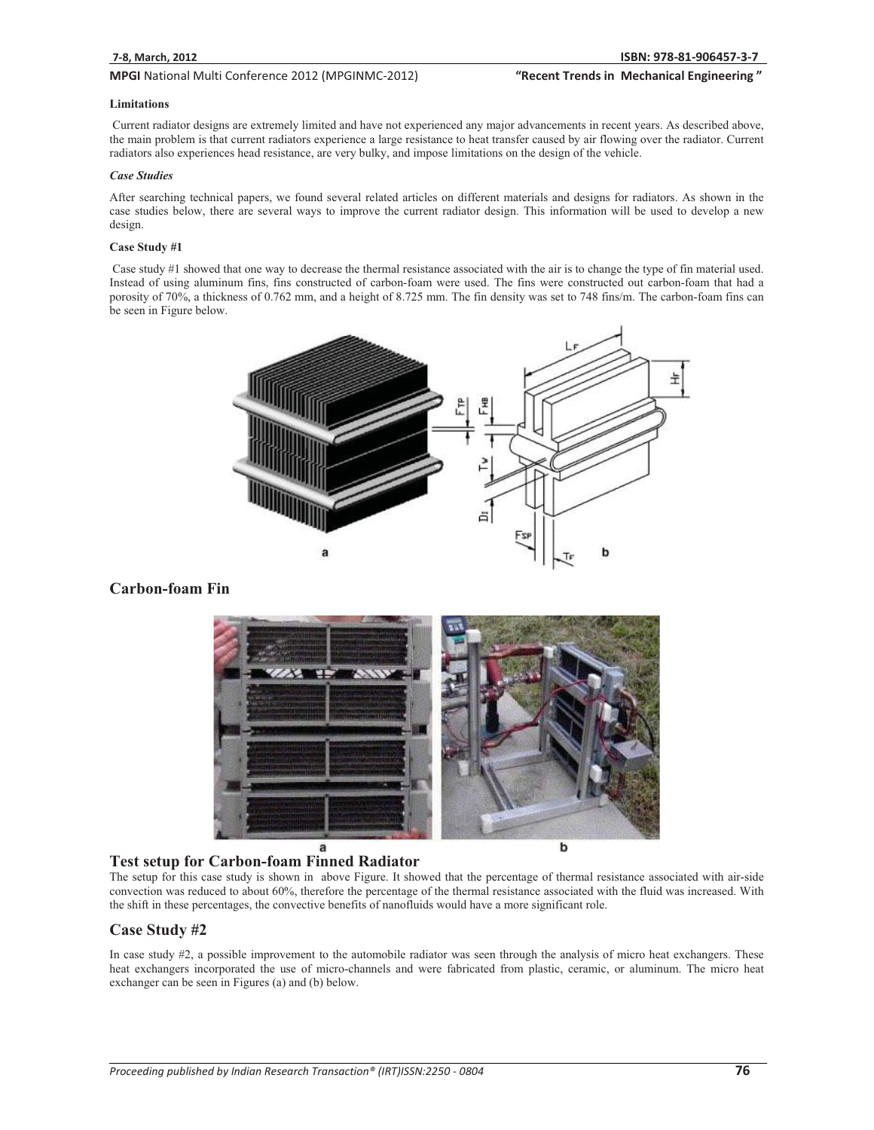#### "Recent Trends in Mechanical Engineering"

#### **Limitations**

Current radiator designs are extremely limited and have not experienced any major advancements in recent years. As described above, the main problem is that current radiators experience a large resistance to heat transfer caused by air flowing over the radiator. Current radiators also experiences head resistance, are very bulky, and impose limitations on the design of the vehicle.

#### *Case Studies*

After searching technical papers, we found several related articles on different materials and designs for radiators. As shown in the case studies below, there are several ways to improve the current radiator design. This information will be used to develop a new design.

#### **Case Study #1**

Case study #1 showed that one way to decrease the thermal resistance associated with the air is to change the type of fin material used. Instead of using aluminum fins, fins constructed of carbon-foam were used. The fins were constructed out carbon-foam that had a porosity of 70%, a thickness of 0.762 mm, and a height of 8.725 mm. The fin density was set to 748 fins/m. The carbon-foam fins can be seen in Figure below.



### **Carbon-foam Fin**



#### **Test setup for Carbon-foam Finned Radiator**

The setup for this case study is shown in above Figure. It showed that the percentage of thermal resistance associated with air-side convection was reduced to about 60%, therefore the percentage of the thermal resistance associated with the fluid was increased. With the shift in these percentages, the convective benefits of nanofluids would have a more significant role.

#### **Case Study #2**

In case study #2, a possible improvement to the automobile radiator was seen through the analysis of micro heat exchangers. These heat exchangers incorporated the use of micro-channels and were fabricated from plastic, ceramic, or aluminum. The micro heat exchanger can be seen in Figures (a) and (b) below.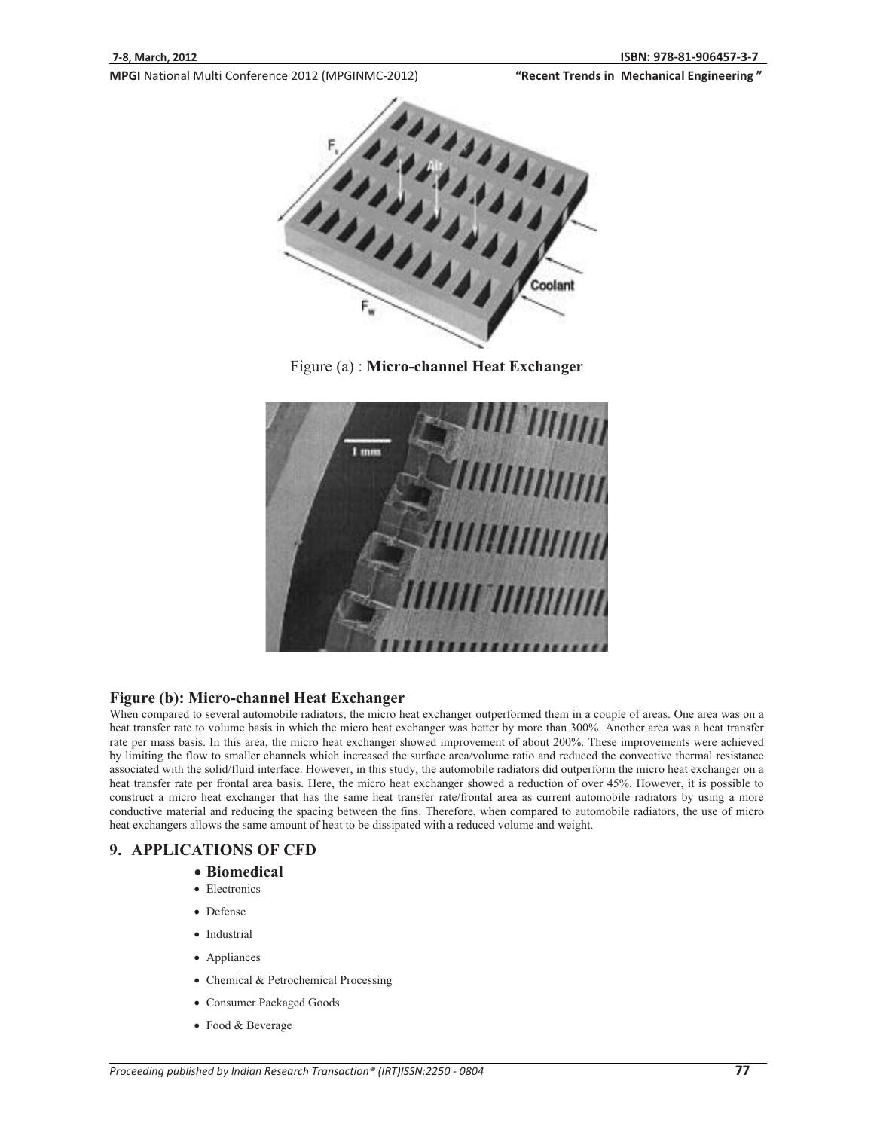**"RecentTrendsinMechanicalEngineering"**



Figure (a) : **Micro-channel Heat Exchanger**



### **Figure (b): Micro-channel Heat Exchanger**

When compared to several automobile radiators, the micro heat exchanger outperformed them in a couple of areas. One area was on a heat transfer rate to volume basis in which the micro heat exchanger was better by more than 300%. Another area was a heat transfer rate per mass basis. In this area, the micro heat exchanger showed improvement of about 200%. These improvements were achieved by limiting the flow to smaller channels which increased the surface area/volume ratio and reduced the convective thermal resistance associated with the solid/fluid interface. However, in this study, the automobile radiators did outperform the micro heat exchanger on a heat transfer rate per frontal area basis. Here, the micro heat exchanger showed a reduction of over 45%. However, it is possible to construct a micro heat exchanger that has the same heat transfer rate/frontal area as current automobile radiators by using a more conductive material and reducing the spacing between the fins. Therefore, when compared to automobile radiators, the use of micro heat exchangers allows the same amount of heat to be dissipated with a reduced volume and weight.

### **9. APPLICATIONS OF CFD**

- **Biomedical**
- Electronics
- Defense
- Industrial
- Appliances
- Chemical & Petrochemical Processing
- Consumer Packaged Goods
- Food & Beverage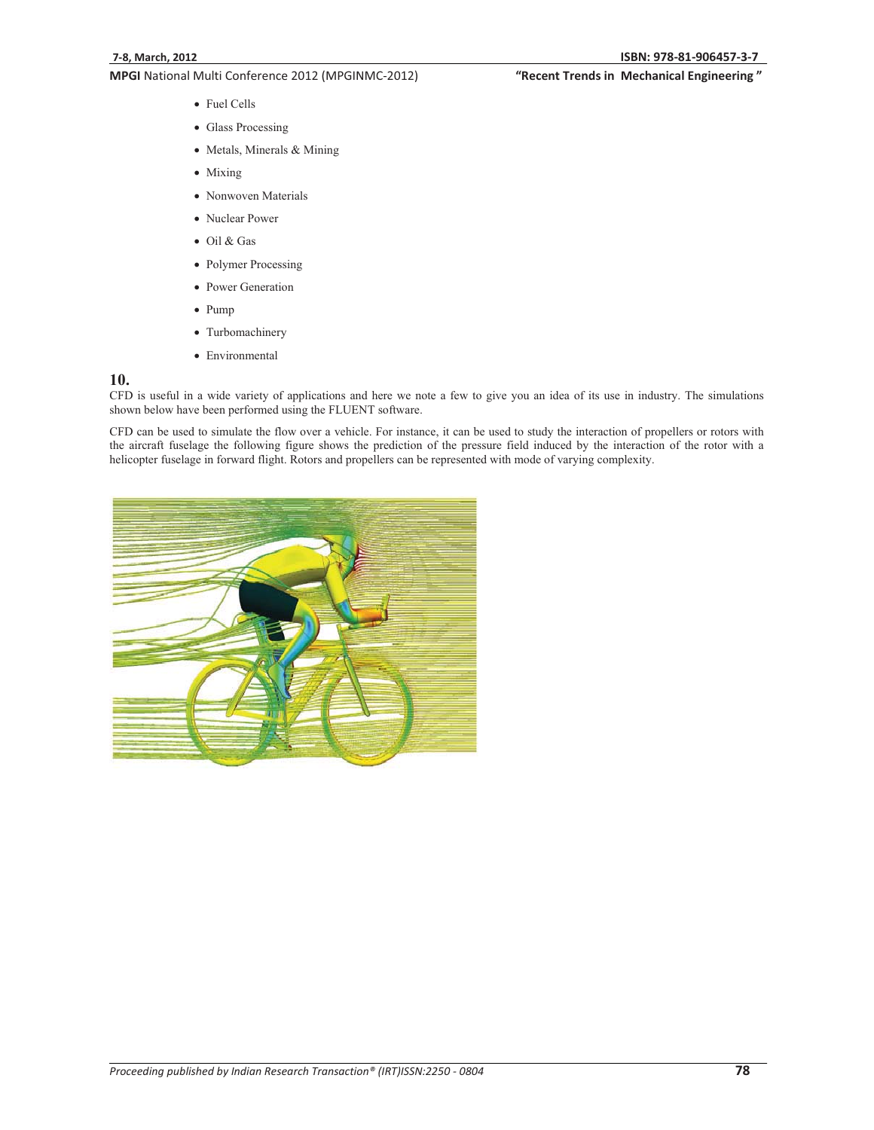### "Recent Trends in Mechanical Engineering"

- Fuel Cells
- Glass Processing
- Metals, Minerals & Mining
- Mixing
- Nonwoven Materials
- Nuclear Power
- Oil & Gas
- Polymer Processing
- Power Generation
- Pump
- Turbomachinery
- Environmental

#### **10.**

CFD is useful in a wide variety of applications and here we note a few to give you an idea of its use in industry. The simulations shown below have been performed using the FLUENT software.

CFD can be used to simulate the flow over a vehicle. For instance, it can be used to study the interaction of propellers or rotors with the aircraft fuselage the following figure shows the prediction of the pressure field induced by the interaction of the rotor with a helicopter fuselage in forward flight. Rotors and propellers can be represented with mode of varying complexity.

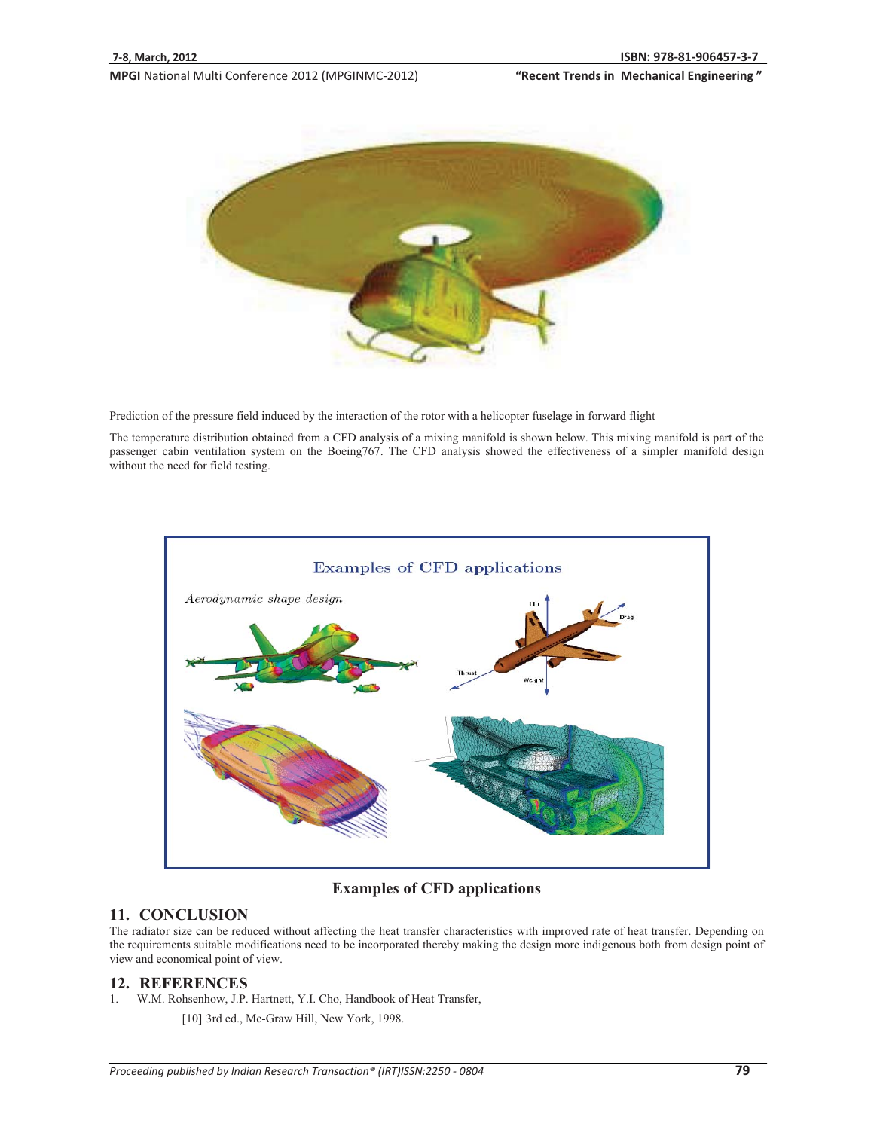

Prediction of the pressure field induced by the interaction of the rotor with a helicopter fuselage in forward flight

The temperature distribution obtained from a CFD analysis of a mixing manifold is shown below. This mixing manifold is part of the passenger cabin ventilation system on the Boeing767. The CFD analysis showed the effectiveness of a simpler manifold design without the need for field testing.



### **Examples of CFD applications**

### **11. CONCLUSION**

The radiator size can be reduced without affecting the heat transfer characteristics with improved rate of heat transfer. Depending on the requirements suitable modifications need to be incorporated thereby making the design more indigenous both from design point of view and economical point of view.

### **12. REFERENCES**

- 1. W.M. Rohsenhow, J.P. Hartnett, Y.I. Cho, Handbook of Heat Transfer,
	- [10] 3rd ed., Mc-Graw Hill, New York, 1998.